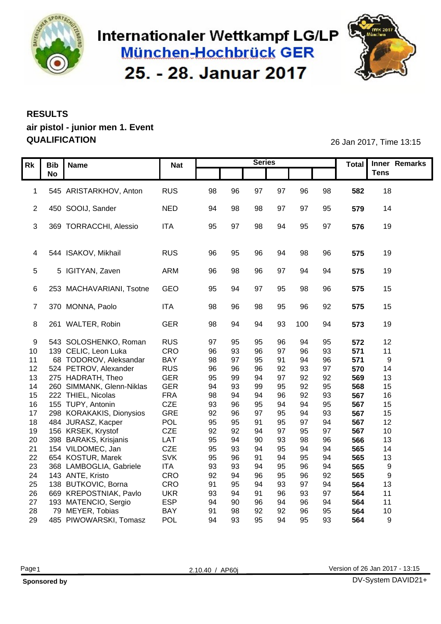

### Internationaler Wettkampf LG/LP München-Hochbrück GER 25. - 28. Januar 2017



#### **RESULTS air pistol - junior men 1. Event QUALIFICATION** 26 Jan 2017, Time 13:15

| Rk Bib Name                                        | <b>Nat</b>               |          |           | <b>Series</b>  |                |        |          |            | Total Inner Remarks |
|----------------------------------------------------|--------------------------|----------|-----------|----------------|----------------|--------|----------|------------|---------------------|
| <b>No</b>                                          |                          |          |           |                |                |        |          |            | <b>Tens</b>         |
|                                                    |                          |          |           |                |                |        |          |            |                     |
| 1 545 ARISTARKHOV, Anton                           | RUS                      | 98       | 96        | 97             | 97             | 96     | 98       | 582        | 18                  |
|                                                    |                          |          |           |                |                |        |          |            |                     |
| 2 450 SOOIJ, Sander                                | <b>NED</b>               | 94       | 98        | 98             | 97             | 97     | 95       | 579        | 14                  |
| 3 369 TORRACCHI, Alessio                           | <b>ITA</b>               |          | 97        |                | 94             |        |          |            |                     |
|                                                    |                          | 95       |           | 98             |                | 95     | 97       | 576        | 19                  |
|                                                    |                          |          |           |                |                |        |          |            |                     |
| 4 544 ISAKOV, Mikhail                              | <b>RUS</b>               | 96       | 95        | 96             | 94             | 98     | 96       | 575        | 19                  |
|                                                    |                          |          |           |                |                |        |          |            |                     |
| 5 5 IGITYAN, Zaven                                 | ARM                      | 96       | 98        | 96             | -97            | 94     | 94       | 575        | 19                  |
|                                                    |                          |          |           |                |                |        |          |            |                     |
| 6 253 MACHAVARIANI, Tsotne                         | GEO                      | 95       | - 94      | 97             | 95             | 98     | 96       | 575        | 15                  |
|                                                    |                          |          |           |                |                |        |          |            |                     |
| 7 370 MONNA, Paolo                                 | <b>ITA</b>               | 98       | 96        | 98             | 95             | 96     | 92       | 575        | 15                  |
|                                                    |                          |          |           |                |                |        |          |            |                     |
| 8 261 WALTER, Robin                                | <b>GER</b>               | 98       | 94        | 94             |                | 93 100 | 94       | 573        | 19                  |
| 9 543 SOLOSHENKO, Roman                            | <b>RUS</b>               | 97       | 95        | 95             | 96             | -94    | 95       | 572        | 12                  |
| 10 139 CELIC, Leon Luka                            | CRO                      | 96       | 93        | 96             | <b>97</b>      | 96     | 93       | 571        | 11                  |
| 68 TODOROV, Aleksandar<br>11                       | <b>BAY</b>               | 98       | <b>97</b> | 95             | - Q1           |        | 96       | 571        | $\mathsf{q}$        |
| 12 524 PETROV, Alexander                           | <b>RUS</b>               | 96       | 96        | 96             | 92             | 93     | 97       | 570        | 14                  |
| 13 275 HADRATH, Theo                               | <b>GER</b>               | 95       | 99        | 94             | Q <sub>7</sub> | 92     | 92       | 569        | 13                  |
| 14 260 SIMMANK, Glenn-Niklas                       | GER                      | 94       | 93        | 99             | 95             | 92     | 95       | 568        | 15                  |
| 15 222 THIEL, Nicolas                              | FRA                      | 98       | 94        | 94             | 96             | 92     | 93       | 567        | 16                  |
| 16 155 TUPY, Antonin                               | CZE                      | 93       | 96        | 95             | $Q_4$          |        | 95       | 567        | 15                  |
| 17 298 KORAKAKIS, Dionysios                        | GRE                      | 92       | 96        | 97             | 95             | 94     | 93       | 567        | 15                  |
| 18 484 JURASZ, Kacper                              | POL                      | 95       | 95        | Q <sub>1</sub> | 95             |        | 94       | 567        | 12                  |
| 19 156 KRSEK, Krystof                              | CZE                      | 92       | 92        | 94             | <b>Q7</b>      | 95     | 97       | 567        | 10 <sup>°</sup>     |
| 20 398 BARAKS, Krisjanis                           | LAT                      | 95       | 94        |                | 93             | 98     | 96       | 566        | 13                  |
| 21 154 VILDOMEC, Jan                               | CZE                      | 95       | 93        | 94             |                |        | 94       | 565        | 14                  |
| 22 654 KOSTUR, Marek<br>23 368 LAMBOGLIA, Gabriele | <b>SVK</b><br><b>ITA</b> | 95<br>93 | 96        | 91             | 94             | 95     | 94<br>94 | 565<br>565 | 13                  |
| 24 143 ANTE, Kristo                                | CRO                      | 92       | 93<br>94  | 94<br>96       | 95<br>95       | 96     | 92       | 565        |                     |
| 25 138 BUTKOVIC, Borna                             | CRO                      | 91       | 95        | 94             | 93             | 97     | 94       | 564        | 13                  |
| 26 669 KREPOSTNIAK, Pavlo                          | <b>UKR</b>               | 93       | 94        | <b>91</b>      | 96             | 93     | 97       | 564        | 11                  |
| 27 193 MATENCIO, Sergio                            | ESP                      | 94       |           | 96             | 94             | 96     | 94       | 564        | 11                  |
| 28<br>79 MEYER, Tobias                             | <b>BAY</b>               | 91       | 98        | 92             | 92             |        | 95       | 564        | 10 <sup>°</sup>     |
| 29 485 PIWOWARSKI, Tomasz                          | POL                      | 94       | 93        | 95             | 94             | 95     | 93       | 564        | <b>Q</b>            |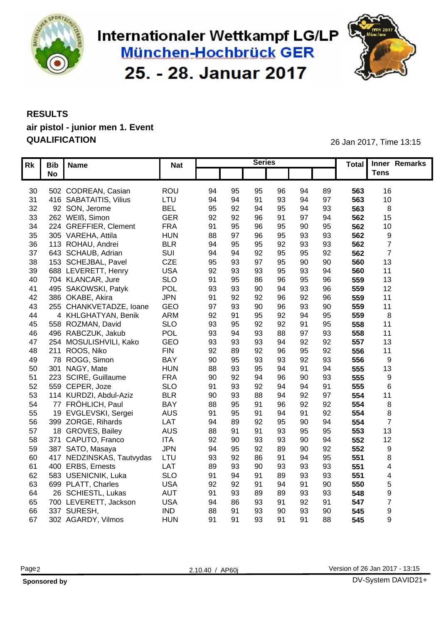

## Internationaler Wettkampf LG/LP München-Hochbrück GER 25. - 28. Januar 2017



#### **RESULTS air pistol - junior men 1. Event QUALIFICATION** 26 Jan 2017, Time 13:15

|    | Rk Bib Name                  | <b>Nat</b> |    |                | <b>Series</b>  |                 |                |     | Total Inner Remarks |
|----|------------------------------|------------|----|----------------|----------------|-----------------|----------------|-----|---------------------|
|    | <b>No</b>                    |            |    |                |                |                 |                |     | <b>Tens</b>         |
|    |                              |            |    |                |                |                 |                |     |                     |
|    | 30 502 CODREAN, Casian       | <b>ROU</b> | 94 | 95             | 95             | 96<br>94        | 89             | 563 | 16                  |
|    | 31 416 SABATAITIS, Vilius    | LTU        | 94 | 94             | Q <sub>1</sub> | 93<br>94        | 97             | 563 | 1 <sub>0</sub>      |
| 32 | 92 SON, Jerome               | <b>BEL</b> | 95 | 92             | 94             | 95<br>94        | 93             | 563 |                     |
|    | 33 262 WEIß, Simon           | <b>GER</b> | 92 | 92             | 96             | 91<br>97        | 94             | 562 |                     |
|    | 34 224 GREFFIER, Clement     | <b>FRA</b> | 91 | 95             | 96             | 95<br>90        | 95             | 562 | 1 <sub>0</sub>      |
|    | 35 305 VAREHA, Attila        | <b>HUN</b> | 88 | 97             | 96             | 95<br>93        | 93             | 562 |                     |
|    | 36 113 ROHAU, Andrei         | <b>BLR</b> | 94 | 95             | 95             | 92<br>93        | 93             | 562 |                     |
|    | 37 643 SCHAUB, Adrian        | SUI        | 94 |                | 92             | 95<br>95        | 92             | 562 |                     |
|    | 38 153 SCHEJBAL, Pavel       | CZE        | 95 | 93             |                | 95<br>90        | 90             | 560 | 13                  |
| 39 | 688 LEVERETT, Henry          | <b>USA</b> | 92 |                |                | 95<br>93        | 94             | 560 | 11                  |
|    | 40 704 KLANCAR, Jure         | <b>SLO</b> | 91 | 95             | 86             | 95              | 96             | 559 | 13                  |
|    | 41 495 SAKOWSKI, Patyk       | POL        | 93 | 93             | 90             | $Q_4$<br>93     | 96             | 559 | 12                  |
|    | 42 386 OKABE, Akira          | <b>JPN</b> | 91 | 92             | 92             | 96<br>92        | 96             | 559 | 11                  |
| 43 | 255 CHANKVETADZE, Ioane      | GEO        | 97 | 93             | 90             | 96<br>93        | 90             | 559 |                     |
| 44 | 4 KHLGHATYAN, Benik          | <b>ARM</b> | 92 | Q <sub>1</sub> | 95             | 92<br>94        | 95             | 559 |                     |
|    | 558 ROZMAN, David            | <b>SLO</b> | 93 | 95             | 92             | 92<br>91        | 95             | 558 | 11                  |
| 45 |                              |            |    |                |                | 97              |                |     | 11                  |
| 46 | 496 RABCZUK, Jakub           | POL        | 93 |                | 93             | 88<br>$Q\Delta$ | 93             | 558 |                     |
|    | 47 254 MOSULISHVILI, Kako    | GEO        | 93 | 93             |                | 92              | 92             | 557 | 13                  |
|    | 48 211 ROOS, Niko            | <b>FIN</b> | 92 |                |                | 95              | 92             | 556 | 11                  |
|    | 49 78 ROGG, Simon            | <b>BAY</b> | 90 | 95             | 93             | 93<br>92        | 93             | 556 |                     |
|    | 50 301 NAGY, Mate            | <b>HUN</b> | 88 | 93             |                | 94<br>91        | 94             | 555 | 13                  |
| 51 | 223 SCIRE, Guillaume         | <b>FRA</b> | 90 | 92             | 94             | 96<br>90        | 93             | 555 |                     |
|    | 52 559 CEPER, Joze           | <b>SLO</b> | 91 | 93             | 92             | 94<br>94        | Q <sub>1</sub> | 555 |                     |
|    | 53 114 KURDZI, Abdul-Aziz    | <b>BLR</b> | 90 | 93             |                | $Q\Delta$<br>92 | Q <sub>7</sub> | 554 |                     |
|    | 54 77 FRÖHLICH, Paul         | BAY        | 88 | 95             |                | 92              | 92             | 554 |                     |
| 55 | 19 EVGLEVSKI, Sergei         | <b>AUS</b> | 91 | 95             |                | 91              | 92             | 554 |                     |
|    | 56 399 ZORGE, Rihards        | LAT        | 94 |                | 92             | 95<br>90        | 94             | 554 |                     |
| 57 | 18 GROVES, Bailey            | <b>AUS</b> | 88 |                |                | 93<br>95        | 95             | 553 |                     |
|    | 58 371 CAPUTO, Franco        | ITA        | 92 | 90             |                | 93<br>90        | 94             | 552 | 12                  |
|    | 59 387 SATO, Masaya          | <b>JPN</b> | 94 | 95             | 92             | 90              | 92             | 552 |                     |
|    | 60 417 NEDZINSKAS, Tautvydas | LTU        | 93 | 92             | 86             | 91<br>94        | 95             | 551 |                     |
| 61 | 400 ERBS, Ernests            | LAT        | 89 | 93             | 90             | 93<br>93        | 93             | 551 |                     |
|    | 62 583 USENICNIK, Luka       | <b>SLO</b> | 91 |                | 91             | 89<br>93        | 93             | 551 |                     |
|    | 63 699 PLATT, Charles        | <b>USA</b> | 92 | 92             |                | 94<br>91        | 90             | 550 |                     |
|    | 64 26 SCHIESTL, Lukas        | <b>AUT</b> | 91 | 93             | 89             | 89<br>93        | 93             | 548 |                     |
|    | 65 700 LEVERETT, Jackson     | <b>USA</b> | 94 | 86             |                | 92<br>-91       | 91             | 547 |                     |
|    | 66 337 SURESH,               | <b>IND</b> | 88 | Q <sub>1</sub> | 93             | 90<br>93        | 90             | 545 |                     |
|    | 67 302 AGARDY, Vilmos        | <b>HUN</b> | 91 | 91             | 93             | 91<br>91        | 88             | 545 |                     |
|    |                              |            |    |                |                |                 |                |     |                     |